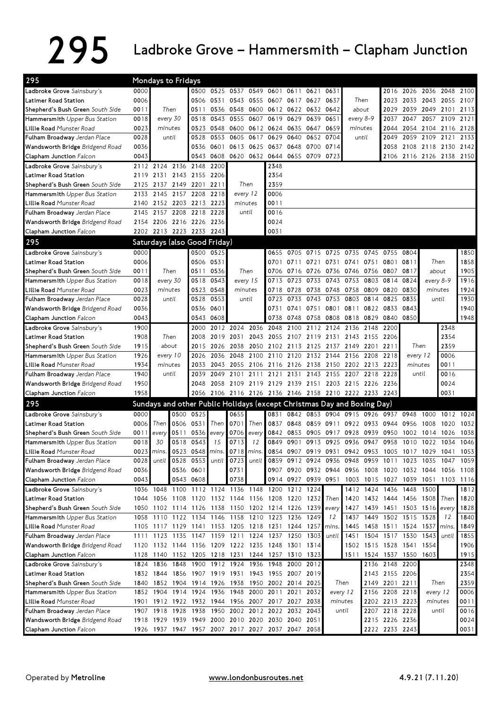## 295 Ladbroke Grove – Hammersmith – Clapham Junction

| 295                                                        | Mondays to Fridays |            |                              |                        |           |                |            |                                                                         |                |           |                                                                               |           |                          |                |                           |           |                     |      |
|------------------------------------------------------------|--------------------|------------|------------------------------|------------------------|-----------|----------------|------------|-------------------------------------------------------------------------|----------------|-----------|-------------------------------------------------------------------------------|-----------|--------------------------|----------------|---------------------------|-----------|---------------------|------|
| Ladbroke Grove Sainsbury's                                 | 0000               |            |                              |                        |           |                |            | 0500 0525 0537 0549 0601                                                | 0611           | 0621      | 0631                                                                          |           |                          | 2016           | 2026 2036 2048 2100       |           |                     |      |
| Latimer Road Station                                       | 0006               |            |                              | 0506                   |           | 0531 0543 0555 |            | 0607 0617                                                               |                | 0627      | 0637                                                                          |           | Then                     | 2023           | 2033                      |           | 2043 2055 2107      |      |
| Shepherd's Bush Green South Side                           | 0011               |            | Then                         | 0511                   |           |                |            | 0536 0548 0600 0612 0622 0632 0642                                      |                |           |                                                                               | about     |                          | 2029           |                           | 2039 2049 | 2101                | 2113 |
| Hammersmith Upper Bus Station                              | 0018               |            | every 30                     | 0518                   | 0543      | 0555           | 0607       |                                                                         | 0619 0629      | 0639      | 0651                                                                          | every 8-9 |                          | 2037           | 2047                      | 2057      | 2109                | 2121 |
| Lillie Road Munster Road                                   | 0023               |            | minutes                      | 0523                   | 0548      | 0600           |            | 0612 0624 0635 0647                                                     |                |           | 0659                                                                          | minutes   |                          | 2044           | 2054                      | 2104      | 2116                | 2128 |
| Fulham Broadway Jerdan Place                               | 0028               |            | until                        | 0528                   | 0553      | 0605           | 0617       | 0629                                                                    | 0640           | 0652      | 0704                                                                          |           | until                    | 2049           |                           | 2059 2109 | 2121                | 2133 |
| Wandsworth Bridge Bridgend Road                            | 0036               |            |                              | 0536                   | 0601      | 0613           | 0625       | 0637 0648                                                               |                | 0700 0714 |                                                                               |           |                          | 2058           |                           |           | 2108 2118 2130 2142 |      |
| Clapham Junction Falcon                                    | 0043               |            |                              | 0543                   | 0608      |                |            | 0620 0632 0644 0655 0709 0723                                           |                |           |                                                                               |           |                          |                | 2106 2116 2126 2138 2150  |           |                     |      |
| Ladbroke Grove Sainsbury's                                 |                    |            | 2112 2124 2136 2148          |                        | 2200      |                |            | 2348                                                                    |                |           |                                                                               |           |                          |                |                           |           |                     |      |
| Latimer Road Station                                       | 2119               |            | 2131 2143 2155               |                        | 2206      |                |            | 2354                                                                    |                |           |                                                                               |           |                          |                |                           |           |                     |      |
| Shepherd's Bush Green South Side                           | 2125               | 2137       | 2149 2201                    |                        | 2211      |                | Then       | 2359                                                                    |                |           |                                                                               |           |                          |                |                           |           |                     |      |
| Hammersmith Upper Bus Station                              | 2133               | 2145       | 2157 2208                    |                        | 2218      |                | every 12   | 0006                                                                    |                |           |                                                                               |           |                          |                |                           |           |                     |      |
| Lillie Road Munster Road                                   | 2140               | 2152       | 2203                         | 2213                   | 2223      |                | minutes    | 0011                                                                    |                |           |                                                                               |           |                          |                |                           |           |                     |      |
| Fulham Broadway Jerdan Place                               | 2145               | 2157       | 2208                         | 2218                   | 2228      |                | until      | 0016                                                                    |                |           |                                                                               |           |                          |                |                           |           |                     |      |
| Wandsworth Bridge Bridgend Road                            |                    |            | 2154 2206 2216 2226 2236     |                        |           |                |            | 0024                                                                    |                |           |                                                                               |           |                          |                |                           |           |                     |      |
| Clapham Junction Falcon                                    |                    |            | 2202 2213 2223 2233 2243     |                        |           |                |            | 0031                                                                    |                |           |                                                                               |           |                          |                |                           |           |                     |      |
| 295                                                        |                    |            | Saturdays (also Good Friday) |                        |           |                |            |                                                                         |                |           |                                                                               |           |                          |                |                           |           |                     |      |
| Ladbroke Grove Sainsbury's                                 | 0000               |            |                              |                        | 0500 0525 |                |            |                                                                         |                |           | 0655 0705 0715 0725 0735 0745 0755                                            |           |                          |                | 0804                      |           |                     | 1850 |
| Latimer Road Station                                       | 0006               |            |                              |                        | 0506 0531 |                |            |                                                                         | 0701 0711      | 0721 0731 |                                                                               | 0741      | 0751                     | 0801           | 0811                      |           | Then                | 1858 |
| Shepherd's Bush Green South Side                           | 0011               | Then       |                              |                        | 0511 0536 |                | Then       |                                                                         | 0706 0716 0726 |           | 0736 0746                                                                     |           | 0756                     | 0807           | 0817                      |           | about               | 1905 |
| <b>Hammersmith</b> Upper Bus Station                       | 0018               | every 30   |                              | 0518                   | 0543      |                | every 15   | 0713                                                                    | 0723           | 0733      | 0743                                                                          | 0753      | 0803                     | 0814           | 0824                      |           | every 8-9           | 1916 |
| Lillie Road Munster Road                                   | 0023               |            | minutes                      | 0523                   | 0548      |                | minutes    | 0718                                                                    | 0728           | 0738      | 0748                                                                          | 0758      | 0809                     | 0820           | 0830                      |           | minutes             | 1924 |
| Fulham Broadway Jerdan Place                               | 0028               |            | until                        | 0528                   | 0553      |                | until      | 0723                                                                    | 0733           | 0743      | 0753                                                                          | 0803      | 0814                     | 0825           | 0835                      |           | until               | 1930 |
| Wandsworth Bridge Bridgend Road                            | 0036               |            |                              | 0536                   | 0601      |                |            | 0731                                                                    | 0741           | 0751      | 0801                                                                          | 0811      | 0822 0833                |                | 0843                      |           |                     | 1940 |
| Clapham Junction Falcon                                    | 0043               |            |                              | 0543                   | 0608      |                |            | 0738                                                                    | 0748           | 0758      | 0808                                                                          | 0818 0829 |                          | 0840           | 0850                      |           |                     | 1948 |
| Ladbroke Grove Sainsbury's                                 | 1900               |            |                              | 2000                   |           | 2012 2024      | 2036       | 2048                                                                    | 2100           |           | 2112 2124                                                                     | 2136      | 2148                     | 2200           |                           |           | 2348                |      |
| Latimer Road Station                                       | 1908               |            | Then                         | 2008                   |           | 2019 2031      | 2043       | 2055                                                                    | 2107           | 2119      | 2131                                                                          |           | 2143 2155                | 2206           |                           |           | 2354                |      |
| Shepherd's Bush Green South Side                           | 1915               |            | about                        | 2015                   |           | 2026 2038      | 2050       |                                                                         | 2102 2113      | 2125      | 2137                                                                          |           | 2149 2201                | 2211           |                           | Then      | 2359                |      |
| Hammersmith Upper Bus Station                              | 1926               | every 10   |                              | 2026                   | 2036      | 2048           | 2100       |                                                                         | 2110 2120      | 2132 2144 |                                                                               | 2156      | 2208                     | 2218           |                           | every 12  | 0006                |      |
| Lillie Road Munster Road                                   | 1934               |            | minutes                      | 2033                   | 2043      | 2055           | 2106       |                                                                         | 2116 2126      | 2138      | 2150                                                                          | 2202      | 2213                     | 2223           | minutes                   |           | 0011                |      |
| Fulham Broadway Jerdan Place                               | 1940               |            | until                        | 2039                   | 2049      | 2101           | 2111       | 2121                                                                    | 2131           |           | 2143 2155 2207                                                                |           | 2218                     | 2228           |                           | until     | 0016                |      |
| <b>Wandsworth Bridge</b> Bridgend Road                     | 1950               |            |                              | 2048                   |           |                |            | 2058 2109 2119 2129 2139 2151 2203 2215 2226                            |                |           |                                                                               |           |                          | - 2236         |                           |           | 0024                |      |
| Clapham Junction Falcon                                    | 1958               |            |                              |                        |           |                |            | 2056 2106 2116 2126 2136 2146 2158 2210 2222 2233 2243                  |                |           |                                                                               |           |                          |                |                           |           | 0031                |      |
| 295                                                        |                    |            |                              |                        |           |                |            | Sundays and other Public Holidays (except Christmas Day and Boxing Day) |                |           |                                                                               |           |                          |                |                           |           |                     |      |
| Ladbroke Grove Sainsbury's                                 | 0000               |            |                              | 0500 0525              |           | 0655           |            | 0831                                                                    | 0842           |           | 0853 0904                                                                     | 0915      | 0926 0937                |                | 0948                      | 1000      | 1012                | 1024 |
| Latimer Road Station                                       | 0006               | Then       | 0506                         | 0531                   | Then      | 0701           | Then       | 0837                                                                    | 0848           |           | 0859 0911                                                                     |           | 0922 0933 0944           |                | 0956                      | 1008      | 1020                | 1032 |
| <b>Shepherd's Bush Green</b> <i>South Side</i>             | 0011               | every      | 0511                         | 0536                   | every     | 0706           | every      | 0842                                                                    | 0853           | 0905      | 0917                                                                          | 0928      | 0939                     | 0950           | 1002                      | 1014      | 1026                | 1038 |
| <b>Hammersmith</b> Upper Bus Station                       | 0018               | 30         |                              | 0518 0543              | 15        | 0713           | 12         | 0849                                                                    | 0901           |           | 0913 0925 0936 0947                                                           |           |                          | 0958           | 1010 1022 1034 1046       |           |                     |      |
| Lillie Road Munster Road                                   |                    | 0023 mins. |                              | 0523 0548 mins.        |           |                | 0718 mins. |                                                                         | 0854 0907      |           | 0919 0931 0942                                                                |           | 0953                     |                | 1005 1017                 | 1029      | 1041                | 1053 |
| Fulham Broadway Jerdan Place                               | 0028               | until      |                              | 0528 0553              | until     |                | 0723 until |                                                                         |                |           | 0859 0912 0924 0936 0948 0959 1011 1023 1035<br>0907 0920 0932 0944 0956 1008 |           |                          | 1020           |                           |           | 1047                | 1059 |
| Wandsworth Bridge Bridgend Road<br>Clapham Junction Falcon | 0036<br>0043       |            |                              | 0536 0601<br>0543 0608 |           | 0731<br>0738   |            |                                                                         | 0914 0927      |           | 0939 0951 1003 1015 1027                                                      |           |                          |                | 1039 1051 1103 1116       | 1032 1044 | 1056                | 1108 |
| Ladbroke Grove Sainsbury's                                 |                    |            |                              |                        |           |                |            | 1036 1048 1100 1112 1124 1136 1148 1200 1212 1224                       |                |           |                                                                               |           | 1412 1424 1436           |                | 1448                      | 1500      |                     | 1812 |
|                                                            |                    |            |                              |                        |           |                |            | 1044 1056 1108 1120 1132 1144 1156 1208 1220 1232                       |                |           | Then                                                                          | 1420      |                          |                | 1432 1444 1456 1508 Then  |           |                     | 1820 |
| Latimer Road Station<br>Shepherd's Bush Green South Side   |                    |            |                              |                        |           |                |            | 1050 1102 1114 1126 1138 1150 1202 1214 1226 1239                       |                |           | every                                                                         | 1427      |                          |                | 1439 1451 1503 1516 every |           |                     | 1828 |
| Hammersmith Upper Bus Station                              |                    |            |                              |                        |           |                |            | 1058 1110 1122 1134 1146 1158 1210 1223 1236                            |                | 1249      | 12                                                                            | 1437      | 1449 1502 1515 1528      |                |                           |           | 12                  | 1840 |
| Lillie Road Munster Road                                   |                    |            |                              |                        |           |                |            | 1105 1117 1129 1141 1153 1205 1218 1231 1244                            |                | 1257      | mins.                                                                         | 1445      |                          |                | 1458 1511 1524 1537 mins  |           |                     | 1849 |
| Fulham Broadway Jerdan Place                               |                    |            |                              |                        |           |                |            | 1111 1123 1135 1147 1159 1211 1224 1237 1250                            |                | 1303      | until                                                                         | 1451      |                          |                | 1504 1517 1530 1543       |           | until               | 1855 |
| Wandsworth Bridge Bridgend Road                            |                    |            |                              |                        |           |                |            | 1120 1132 1144 1156 1209 1222 1235 1248 1301 1314                       |                |           |                                                                               |           | 1502 1515 1528 1541 1554 |                |                           |           |                     | 1906 |
| Clapham Junction Falcon                                    |                    |            |                              |                        |           |                |            | 1128 1140 1152 1205 1218 1231 1244 1257 1310 1323                       |                |           |                                                                               |           | 1511 1524 1537 1550 1603 |                |                           |           |                     | 1915 |
| Ladbroke Grove Sainsbury's                                 |                    | 1824 1836  | 1848                         |                        |           |                |            | 1900 1912 1924 1936 1948 2000                                           |                | 2012      |                                                                               |           |                          | 2136 2148 2200 |                           |           |                     | 2348 |
| Latimer Road Station                                       |                    | 1832 1844  |                              |                        |           |                |            | 1856 1907 1919 1931 1943 1955 2007 2019                                 |                |           |                                                                               |           |                          | 2143 2155 2206 |                           |           |                     | 2354 |
| Shepherd's Bush Green South Side                           |                    |            |                              |                        |           |                |            | 1840 1852 1904 1914 1926 1938 1950 2002 2014 2025                       |                |           |                                                                               | Then      |                          | 2149 2201 2211 |                           |           | Then                | 2359 |
| Hammersmith Upper Bus Station                              |                    |            |                              |                        |           |                |            | 1852 1904 1914 1924 1936 1948 2000 2011 2021 2032                       |                |           | every 12                                                                      |           |                          | 2156 2208 2218 |                           |           | every 12            | 0006 |
| Lillie Road Munster Road                                   |                    |            |                              |                        |           |                |            | 1901 1912 1922 1932 1944 1956 2007 2017 2027 2038                       |                |           | minutes                                                                       |           |                          | 2202 2213 2223 |                           |           | minutes             | 0011 |
| Fulham Broadway Jerdan Place                               |                    |            | 1907 1918 1928               | 1938                   |           |                |            | 1950 2002 2012 2022 2032 2043                                           |                |           |                                                                               | until     |                          | 2207 2218 2228 |                           |           | until               | 0016 |
| <b>Wandsworth Bridge</b> Bridgend Road                     |                    |            |                              |                        |           |                |            | 1918 1929 1939 1949 2000 2010 2020 2030 2040 2051                       |                |           |                                                                               |           |                          | 2215 2226 2236 |                           |           |                     | 0024 |
| Clapham Junction Falcon                                    |                    |            |                              |                        |           |                |            | 1926 1937 1947 1957 2007 2017 2027 2037 2047 2058                       |                |           |                                                                               |           |                          | 2222 2233 2243 |                           |           |                     | 0031 |